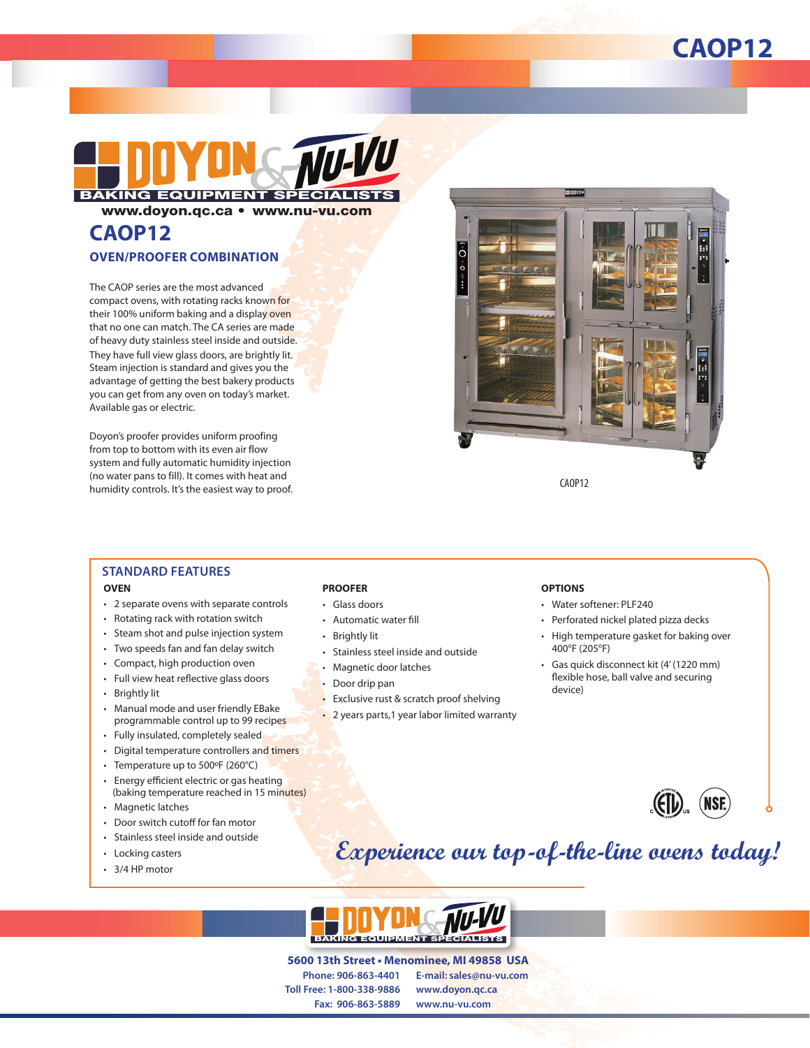## **CAOP12**



www.doyon.qc.ca • www.nu-vu.com

# **CAOP12**

#### **OVEN/PROOFER COMBINATION**

The CAOP series are the most advanced compact ovens, with rotating racks known for their 100% uniform baking and a display oven that no one can match. The CA series are made of heavy duty stainless steel inside and outside. They have full view glass doors, are brightly lit. Steam injection is standard and gives you the advantage of getting the best bakery products you can get from any oven on today's market. Available gas or electric.

Doyon's proofer provides uniform proofing from top to bottom with its even air flow system and fully automatic humidity injection (no water pans to fill). It comes with heat and humidity controls. It's the easiest way to proof.



### **STANDARD FEATURES**

#### **OVEN**

- 2 separate ovens with separate controls
- Rotating rack with rotation switch
- Steam shot and pulse injection system
- Two speeds fan and fan delay switch
- Compact, high production oven
- Full view heat reflective glass doors
- Brightly lit
- Manual mode and user friendly EBake programmable control up to 99 recipes
- Fully insulated, completely sealed
- Digital temperature controllers and timers
- Temperature up to 500ºF (260°C)
- Energy efficient electric or gas heating (baking temperature reached in 15 minutes)
- Magnetic latches
- Door switch cutoff for fan motor
- Stainless steel inside and outside
- Locking casters
- 3/4 HP motor

#### **PROOFER**

- Glass doors
- Automatic water fill
- **Brightly lit**
- Stainless steel inside and outside
- Magnetic door latches
- Door drip pan
- Exclusive rust & scratch proof shelving
- 2 years parts,1 year labor limited warranty

#### **OPTIONS**

- Water softener: PLF240
- Perforated nickel plated pizza decks
- High temperature gasket for baking over 400°F (205°F)
- Gas quick disconnect kit (4' (1220 mm) flexible hose, ball valve and securing device)



## **Experience our top-of-the-line ovens today!**



**Phone: 906-863-4401 Toll Free: 1-800-338-9886 Fax: 906-863-5889 E-mail: sales@nu-vu.com www.doyon.qc.ca www.nu-vu.com 5600 13th Street • Menominee, MI 49858 USA**